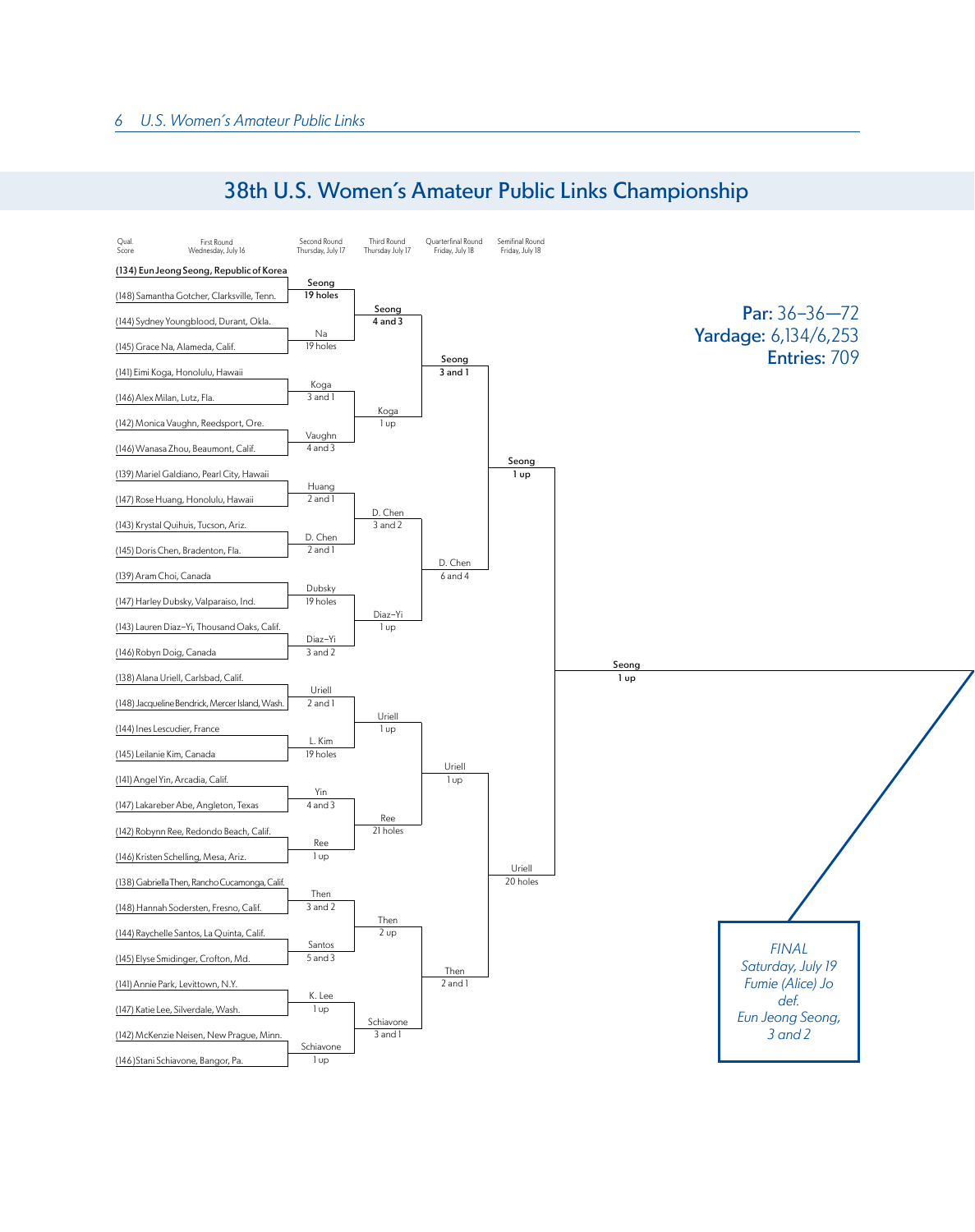

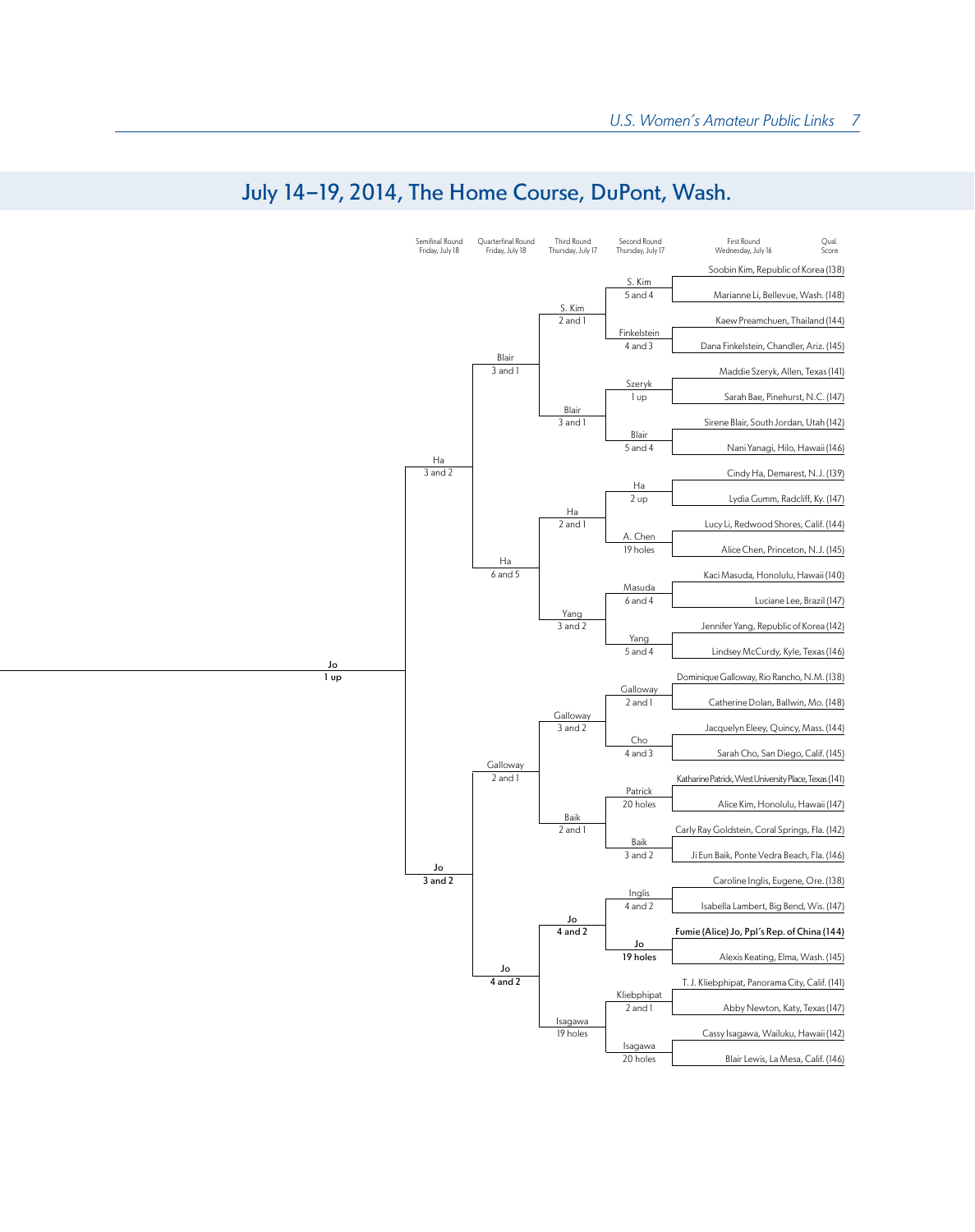

## July 14-19, 2014, The Home Course, DuPont, Wash.